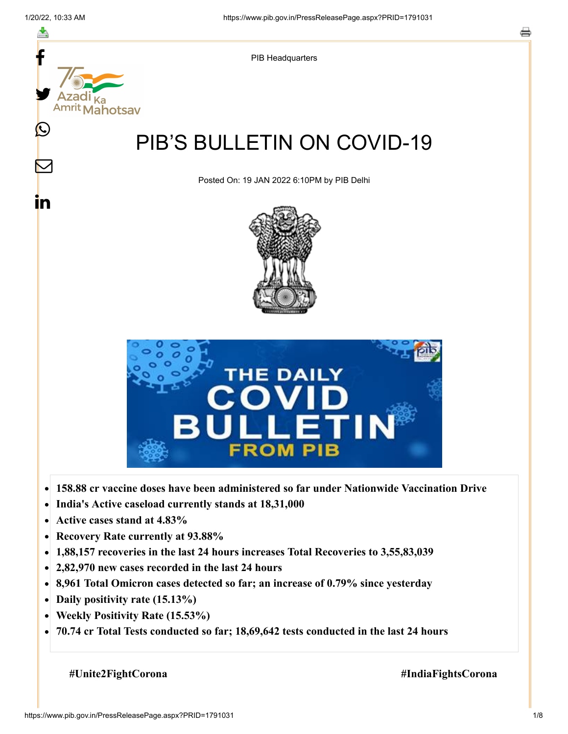

- $\bullet$ **India's Active caseload currently stands at 18,31,000**
- **Active cases stand at 4.83%**  $\bullet$
- **Recovery Rate currently at 93.88%**  $\bullet$
- **1,88,157 recoveries in the last 24 hours increases Total Recoveries to 3,55,83,039**  $\bullet$
- **2,82,970 new cases recorded in the last 24 hours**
- **8,961 Total Omicron cases detected so far; an increase of 0.79% since yesterday**
- **Daily positivity rate (15.13%)**
- **Weekly Positivity Rate (15.53%)**  $\bullet$
- $\bullet$ **70.74 cr Total Tests conducted so far; 18,69,642 tests conducted in the last 24 hours**

 **#Unite2FightCorona #IndiaFightsCorona**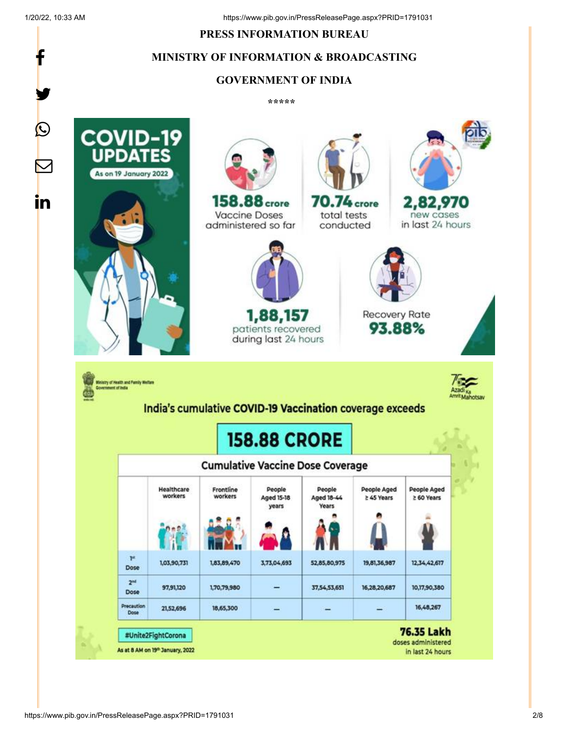f

y.

#### **PRESS INFORMATION BUREAU**

# **MINISTRY OF INFORMATION & BROADCASTING**

### **GOVERNMENT OF INDIA**

**\*\*\*\*\*** 

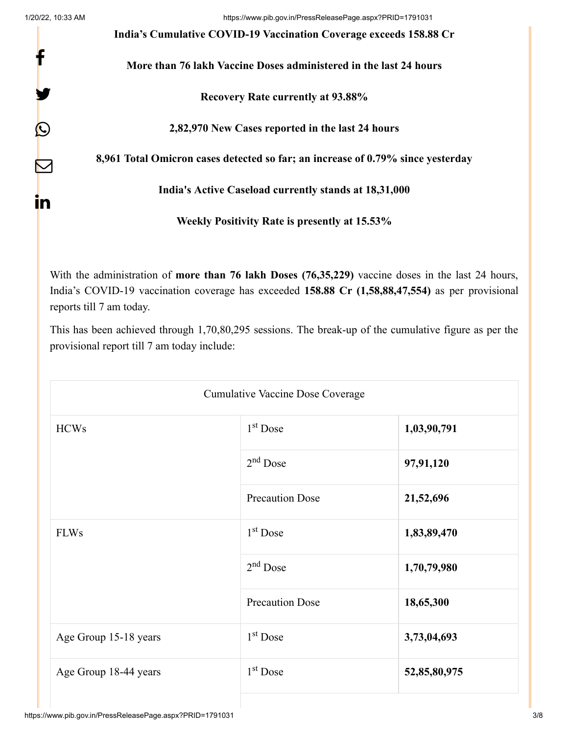f

y.

 $\bm{\mathcal{Q}}$ 

 $\bm{\nabla}$ 

in

1/20/22, 10:33 AM https://www.pib.gov.in/PressReleasePage.aspx?PRID=1791031

**India's Cumulative COVID-19 Vaccination Coverage exceeds 158.88 Cr**

**More than 76 lakh Vaccine Doses administered in the last 24 hours**

**Recovery Rate currently at 93.88%**

**2,82,970 New Cases reported in the last 24 hours**

**8,961 Total Omicron cases detected so far; an increase of 0.79% since yesterday**

**India's Active Caseload currently stands at 18,31,000**

**Weekly Positivity Rate is presently at 15.53%**

With the administration of **more than 76 lakh Doses (76,35,229)** vaccine doses in the last 24 hours, India's COVID-19 vaccination coverage has exceeded **158.88 Cr (1,58,88,47,554)** as per provisional reports till 7 am today.

This has been achieved through 1,70,80,295 sessions. The break-up of the cumulative figure as per the provisional report till 7 am today include:

| <b>Cumulative Vaccine Dose Coverage</b> |                        |              |  |  |
|-----------------------------------------|------------------------|--------------|--|--|
| <b>HCWs</b>                             | $1st$ Dose             | 1,03,90,791  |  |  |
|                                         | $2nd$ Dose             | 97,91,120    |  |  |
|                                         | <b>Precaution Dose</b> | 21,52,696    |  |  |
| <b>FLWs</b>                             | $1st$ Dose             | 1,83,89,470  |  |  |
|                                         | $2nd$ Dose             | 1,70,79,980  |  |  |
|                                         | <b>Precaution Dose</b> | 18,65,300    |  |  |
| Age Group 15-18 years                   | $1st$ Dose             | 3,73,04,693  |  |  |
| Age Group 18-44 years                   | $1st$ Dose             | 52,85,80,975 |  |  |
|                                         |                        |              |  |  |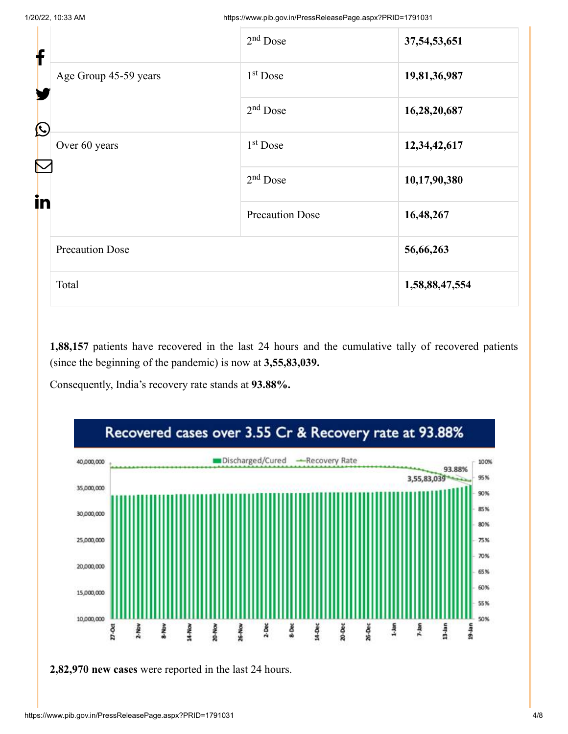| f<br>Y<br>$\bigcirc$ |                        | $2nd$ Dose             | 37, 54, 53, 651 |
|----------------------|------------------------|------------------------|-----------------|
|                      | Age Group 45-59 years  | 1 <sup>st</sup> Dose   | 19,81,36,987    |
|                      |                        | $2nd$ Dose             | 16,28,20,687    |
| in                   | Over 60 years          | 1 <sup>st</sup> Dose   | 12,34,42,617    |
|                      |                        | $2nd$ Dose             | 10,17,90,380    |
|                      |                        | <b>Precaution Dose</b> | 16,48,267       |
|                      | <b>Precaution Dose</b> |                        | 56,66,263       |
|                      | Total                  |                        | 1,58,88,47,554  |
|                      |                        |                        |                 |

**1,88,157** patients have recovered in the last 24 hours and the cumulative tally of recovered patients (since the beginning of the pandemic) is now at **3,55,83,039.**

Consequently, India's recovery rate stands at **93.88%.**



**2,82,970 new cases** were reported in the last 24 hours.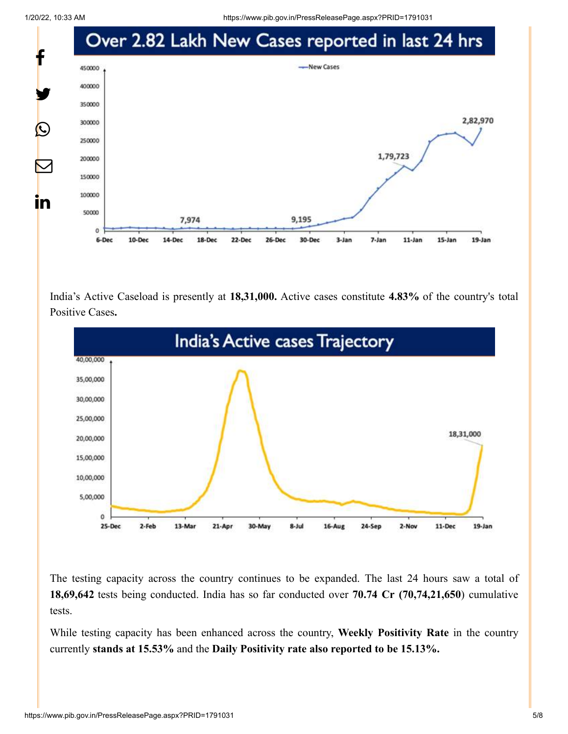1/20/22, 10:33 AM https://www.pib.gov.in/PressReleasePage.aspx?PRID=1791031



India's Active Caseload is presently at **18,31,000.** Active cases constitute **4.83%** of the country's total Positive Cases**.**



The testing capacity across the country continues to be expanded. The last 24 hours saw a total of **18,69,642** tests being conducted. India has so far conducted over **70.74 Cr (70,74,21,650**) cumulative tests.

While testing capacity has been enhanced across the country, **Weekly Positivity Rate** in the country currently **stands at 15.53%** and the **Daily Positivity rate also reported to be 15.13%.**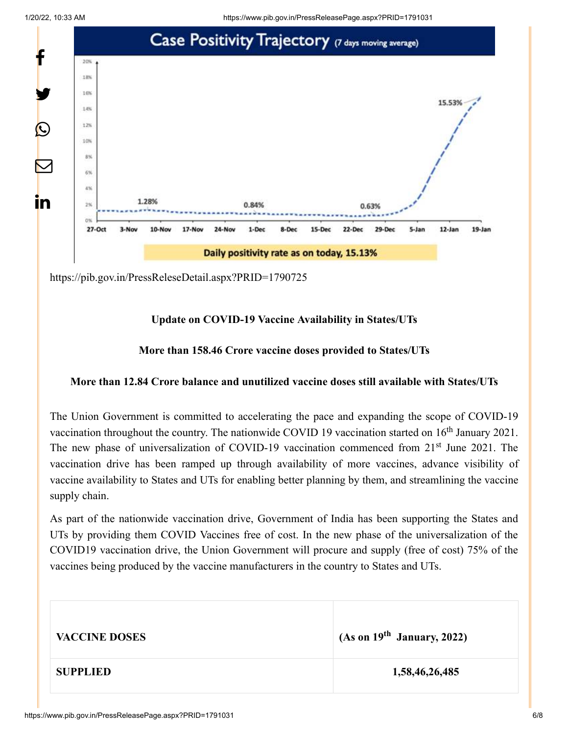

<https://pib.gov.in/PressReleseDetail.aspx?PRID=1790725>

# **Update on COVID-19 Vaccine Availability in States/UTs**

# **More than 158.46 Crore vaccine doses provided to States/UTs**

## **More than 12.84 Crore balance and unutilized vaccine doses still available with States/UTs**

The Union Government is committed to accelerating the pace and expanding the scope of COVID-19 vaccination throughout the country. The nationwide COVID 19 vaccination started on  $16<sup>th</sup>$  January 2021. The new phase of universalization of COVID-19 vaccination commenced from 21<sup>st</sup> June 2021. The vaccination drive has been ramped up through availability of more vaccines, advance visibility of vaccine availability to States and UTs for enabling better planning by them, and streamlining the vaccine supply chain.

As part of the nationwide vaccination drive, Government of India has been supporting the States and UTs by providing them COVID Vaccines free of cost. In the new phase of the universalization of the COVID19 vaccination drive, the Union Government will procure and supply (free of cost) 75% of the vaccines being produced by the vaccine manufacturers in the country to States and UTs.

| <b>VACCINE DOSES</b> | (As on $19th$ January, 2022) |
|----------------------|------------------------------|
| <b>SUPPLIED</b>      | 1,58,46,26,485               |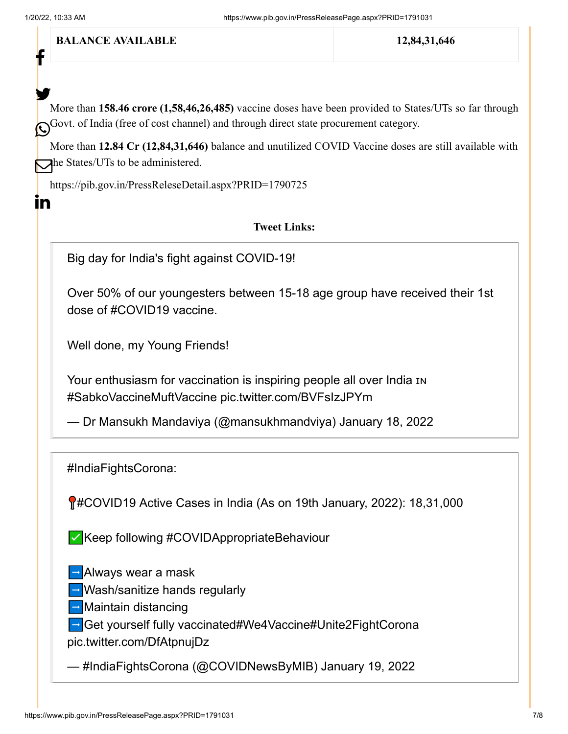f

In

**BALANCE AVAILABLE** 12,84,31,646

More than **158.46 crore (1,58,46,26,485)** vaccine doses have been provided to States/UTs so far through Govt. of India (free of cost channel) and through direct state procurement category. y.

More than **12.84 Cr (12,84,31,646)** balance and unutilized COVID Vaccine doses are still available with  $\sum$ he States/UTs to be administered.

<https://pib.gov.in/PressReleseDetail.aspx?PRID=1790725>

## **Tweet Links:**

Big day for India's fight against COVID-19!

Over 50% of our youngesters between 15-18 age group have received their 1st dose of [#COVID19](https://twitter.com/hashtag/COVID19?src=hash&ref_src=twsrc%5Etfw) vaccine.

Well done, my Young Friends!

Your enthusiasm for vaccination is inspiring people all over India IN [#SabkoVaccineMuftVaccine](https://twitter.com/hashtag/SabkoVaccineMuftVaccine?src=hash&ref_src=twsrc%5Etfw) [pic.twitter.com/BVFsIzJPYm](https://t.co/BVFsIzJPYm)

— Dr Mansukh Mandaviya (@mansukhmandviya) [January 18, 2022](https://twitter.com/mansukhmandviya/status/1483446474084347910?ref_src=twsrc%5Etfw)

[#IndiaFightsCorona](https://twitter.com/hashtag/IndiaFightsCorona?src=hash&ref_src=twsrc%5Etfw):

[#COVID19](https://twitter.com/hashtag/COVID19?src=hash&ref_src=twsrc%5Etfw) Active Cases in India (As on 19th January, 2022): 18,31,000

✅Keep following [#COVIDAppropriateBehaviour](https://twitter.com/hashtag/COVIDAppropriateBehaviour?src=hash&ref_src=twsrc%5Etfw)

➡️Always wear a mask

➡️Wash/sanitize hands regularly

➡️Maintain distancing

➡️Get yourself fully vaccinated[#We4Vaccine](https://twitter.com/hashtag/We4Vaccine?src=hash&ref_src=twsrc%5Etfw)[#Unite2FightCorona](https://twitter.com/hashtag/Unite2FightCorona?src=hash&ref_src=twsrc%5Etfw) [pic.twitter.com/DfAtpnujDz](https://t.co/DfAtpnujDz)

— #IndiaFightsCorona (@COVIDNewsByMIB) [January 19, 2022](https://twitter.com/COVIDNewsByMIB/status/1483707834370240512?ref_src=twsrc%5Etfw)